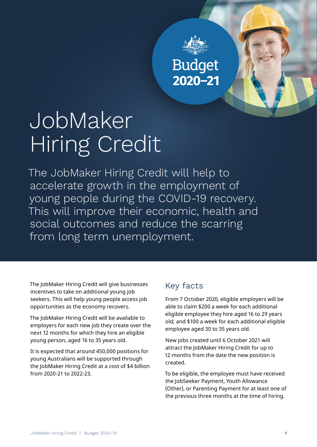

# JobMaker Hiring Credit

The JobMaker Hiring Credit will help to accelerate growth in the employment of young people during the COVID-19 recovery. This will improve their economic, health and social outcomes and reduce the scarring from long term unemployment.

The JobMaker Hiring Credit will give businesses incentives to take on additional young job seekers. This will help young people access job opportunities as the economy recovers.

The JobMaker Hiring Credit will be available to employers for each new job they create over the next 12 months for which they hire an eligible young person, aged 16 to 35 years old.

It is expected that around 450,000 positions for young Australians will be supported through the JobMaker Hiring Credit at a cost of \$4 billion from 2020-21 to 2022-23.

# Key facts

From 7 October 2020, eligible employers will be able to claim \$200 a week for each additional eligible employee they hire aged 16 to 29 years old; and \$100 a week for each additional eligible employee aged 30 to 35 years old.

New jobs created until 6 October 2021 will attract the JobMaker Hiring Credit for up to 12 months from the date the new position is created.

To be eligible, the employee must have received the JobSeeker Payment, Youth Allowance (Other), or Parenting Payment for at least one of the previous three months at the time of hiring.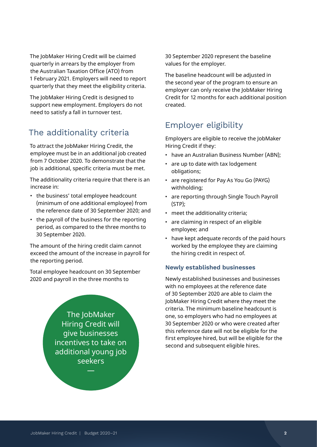The JobMaker Hiring Credit will be claimed quarterly in arrears by the employer from the Australian Taxation Office (ATO) from 1 February 2021. Employers will need to report quarterly that they meet the eligibility criteria.

The JobMaker Hiring Credit is designed to support new employment. Employers do not need to satisfy a fall in turnover test.

# The additionality criteria

To attract the JobMaker Hiring Credit, the employee must be in an additional job created from 7 October 2020. To demonstrate that the job is additional, specific criteria must be met.

The additionality criteria require that there is an increase in:

- the business' total employee headcount (minimum of one additional employee) from the reference date of 30 September 2020; and
- the payroll of the business for the reporting period, as compared to the three months to 30 September 2020.

The amount of the hiring credit claim cannot exceed the amount of the increase in payroll for the reporting period.

Total employee headcount on 30 September 2020 and payroll in the three months to

> The JobMaker Hiring Credit will give businesses incentives to take on additional young job seekers

> > —

30 September 2020 represent the baseline values for the employer.

The baseline headcount will be adjusted in the second year of the program to ensure an employer can only receive the JobMaker Hiring Credit for 12 months for each additional position created.

# Employer eligibility

Employers are eligible to receive the JobMaker Hiring Credit if they:

- have an Australian Business Number (ABN);
- are up to date with tax lodgement obligations;
- are registered for Pay As You Go (PAYG) withholding;
- are reporting through Single Touch Payroll (STP);
- meet the additionality criteria;
- are claiming in respect of an eligible employee; and
- have kept adequate records of the paid hours worked by the employee they are claiming the hiring credit in respect of.

# **Newly established businesses**

Newly established businesses and businesses with no employees at the reference date of 30 September 2020 are able to claim the JobMaker Hiring Credit where they meet the criteria. The minimum baseline headcount is one, so employers who had no employees at 30 September 2020 or who were created after this reference date will not be eligible for the first employee hired, but will be eligible for the second and subsequent eligible hires.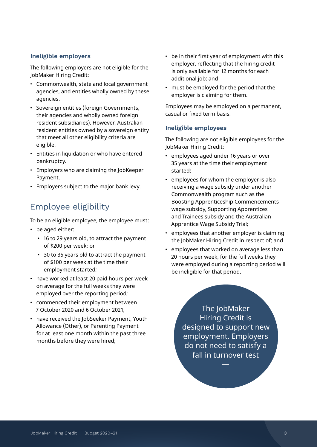# **Ineligible employers**

The following employers are not eligible for the JobMaker Hiring Credit:

- Commonwealth, state and local government agencies, and entities wholly owned by these agencies.
- Sovereign entities (foreign Governments, their agencies and wholly owned foreign resident subsidiaries). However, Australian resident entities owned by a sovereign entity that meet all other eligibility criteria are eligible.
- Entities in liquidation or who have entered bankruptcy.
- Employers who are claiming the JobKeeper Payment.
- Employers subject to the major bank levy.

# Employee eligibility

To be an eligible employee, the employee must:

- be aged either:
	- 16 to 29 years old, to attract the payment of \$200 per week; or
	- 30 to 35 years old to attract the payment of \$100 per week at the time their employment started;
- have worked at least 20 paid hours per week on average for the full weeks they were employed over the reporting period;
- commenced their employment between 7 October 2020 and 6 October 2021;
- have received the JobSeeker Payment, Youth Allowance (Other), or Parenting Payment for at least one month within the past three months before they were hired;
- be in their first year of employment with this employer, reflecting that the hiring credit is only available for 12 months for each additional job; and
- must be employed for the period that the employer is claiming for them.

Employees may be employed on a permanent, casual or fixed term basis.

#### **Ineligible employees**

The following are not eligible employees for the JobMaker Hiring Credit:

- employees aged under 16 years or over 35 years at the time their employment started;
- employees for whom the employer is also receiving a wage subsidy under another Commonwealth program such as the Boosting Apprenticeship Commencements wage subsidy, Supporting Apprentices and Trainees subsidy and the Australian Apprentice Wage Subsidy Trial;
- employees that another employer is claiming the JobMaker Hiring Credit in respect of; and
- employees that worked on average less than 20 hours per week, for the full weeks they were employed during a reporting period will be ineligible for that period.

The JobMaker Hiring Credit is designed to support new employment. Employers do not need to satisfy a fall in turnover test

—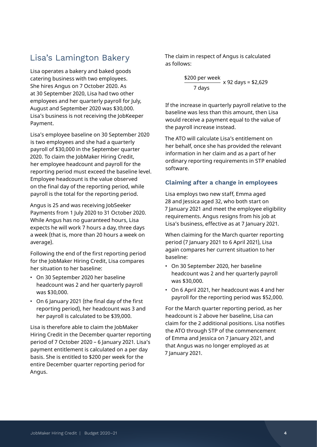# Lisa's Lamington Bakery

Lisa operates a bakery and baked goods catering business with two employees. She hires Angus on 7 October 2020. As at 30 September 2020, Lisa had two other employees and her quarterly payroll for July, August and September 2020 was \$30,000. Lisa's business is not receiving the JobKeeper Payment.

Lisa's employee baseline on 30 September 2020 is two employees and she had a quarterly payroll of \$30,000 in the September quarter 2020. To claim the JobMaker Hiring Credit, her employee headcount and payroll for the reporting period must exceed the baseline level. Employee headcount is the value observed on the final day of the reporting period, while payroll is the total for the reporting period.

Angus is 25 and was receiving JobSeeker Payments from 1 July 2020 to 31 October 2020. While Angus has no guaranteed hours, Lisa expects he will work 7 hours a day, three days a week (that is, more than 20 hours a week on average).

Following the end of the first reporting period for the JobMaker Hiring Credit, Lisa compares her situation to her baseline:

- On 30 September 2020 her baseline headcount was 2 and her quarterly payroll was \$30,000.
- On 6 January 2021 (the final day of the first reporting period), her headcount was 3 and her payroll is calculated to be \$39,000.

Lisa is therefore able to claim the JobMaker Hiring Credit in the December quarter reporting period of 7 October 2020 – 6 January 2021. Lisa's payment entitlement is calculated on a per day basis. She is entitled to \$200 per week for the entire December quarter reporting period for Angus.

The claim in respect of Angus is calculated as follows:

$$
\frac{$200 \text{ per week}}{7 \text{ days}} \times 92 \text{ days} = $2,629
$$

If the increase in quarterly payroll relative to the baseline was less than this amount, then Lisa would receive a payment equal to the value of the payroll increase instead.

The ATO will calculate Lisa's entitlement on her behalf, once she has provided the relevant information in her claim and as a part of her ordinary reporting requirements in STP enabled software.

# **Claiming after a change in employees**

Lisa employs two new staff, Emma aged 28 and Jessica aged 32, who both start on 7 January 2021 and meet the employee eligibility requirements. Angus resigns from his job at Lisa's business, effective as at 7 January 2021.

When claiming for the March quarter reporting period (7 January 2021 to 6 April 2021), Lisa again compares her current situation to her baseline:

- On 30 September 2020, her baseline headcount was 2 and her quarterly payroll was \$30,000.
- On 6 April 2021, her headcount was 4 and her payroll for the reporting period was \$52,000.

For the March quarter reporting period, as her headcount is 2 above her baseline, Lisa can claim for the 2 additional positions. Lisa notifies the ATO through STP of the commencement of Emma and Jessica on 7 January 2021, and that Angus was no longer employed as at 7 January 2021.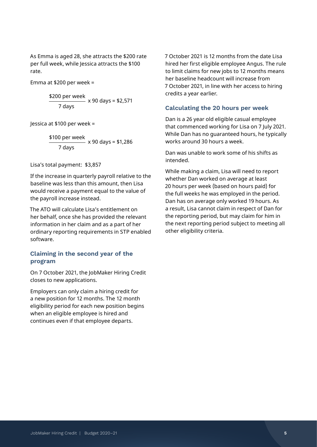As Emma is aged 28, she attracts the \$200 rate per full week, while Jessica attracts the \$100 rate.

Emma at \$200 per week =

\$200 per week<br> $x 90 \text{ days} = $2,571$ 7 days

Jessica at \$100 per week =

\$100 per week<br>———————— x 90 days = \$1,286 7 days

Lisa's total payment: \$3,857

If the increase in quarterly payroll relative to the baseline was less than this amount, then Lisa would receive a payment equal to the value of the payroll increase instead.

The ATO will calculate Lisa's entitlement on her behalf, once she has provided the relevant information in her claim and as a part of her ordinary reporting requirements in STP enabled software.

# **Claiming in the second year of the program**

On 7 October 2021, the JobMaker Hiring Credit closes to new applications.

Employers can only claim a hiring credit for a new position for 12 months. The 12 month eligibility period for each new position begins when an eligible employee is hired and continues even if that employee departs.

7 October 2021 is 12 months from the date Lisa hired her first eligible employee Angus. The rule to limit claims for new jobs to 12 months means her baseline headcount will increase from 7 October 2021, in line with her access to hiring credits a year earlier.

#### **Calculating the 20 hours per week**

Dan is a 26 year old eligible casual employee that commenced working for Lisa on 7 July 2021. While Dan has no guaranteed hours, he typically works around 30 hours a week.

Dan was unable to work some of his shifts as intended.

While making a claim, Lisa will need to report whether Dan worked on average at least 20 hours per week (based on hours paid) for the full weeks he was employed in the period. Dan has on average only worked 19 hours. As a result, Lisa cannot claim in respect of Dan for the reporting period, but may claim for him in the next reporting period subject to meeting all other eligibility criteria.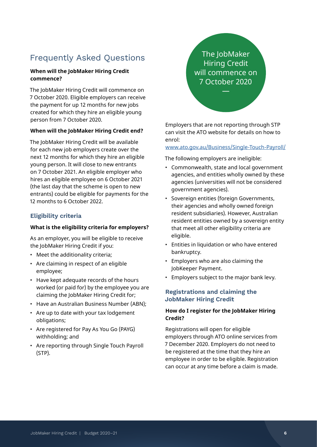# Frequently Asked Questions

## **When will the JobMaker Hiring Credit commence?**

The JobMaker Hiring Credit will commence on 7 October 2020. Eligible employers can receive the payment for up 12 months for new jobs created for which they hire an eligible young person from 7 October 2020.

#### **When will the JobMaker Hiring Credit end?**

The JobMaker Hiring Credit will be available for each new job employers create over the next 12 months for which they hire an eligible young person. It will close to new entrants on 7 October 2021. An eligible employer who hires an eligible employee on 6 October 2021 (the last day that the scheme is open to new entrants) could be eligible for payments for the 12 months to 6 October 2022.

#### **Eligibility criteria**

#### **What is the eligibility criteria for employers?**

As an employer, you will be eligible to receive the JobMaker Hiring Credit if you:

- Meet the additionality criteria;
- Are claiming in respect of an eligible employee;
- Have kept adequate records of the hours worked (or paid for) by the employee you are claiming the JobMaker Hiring Credit for;
- Have an Australian Business Number (ABN);
- Are up to date with your tax lodgement obligations;
- Are registered for Pay As You Go (PAYG) withholding; and
- Are reporting through Single Touch Payroll (STP).

The JobMaker Hiring Credit will commence on 7 October 2020

—

Employers that are not reporting through STP can visit the ATO website for details on how to enrol:

#### [www.ato.gov.au/Business/Single-Touch-Payroll/](https://www.ato.gov.au/Business/Single-Touch-Payroll/)

The following employers are ineligible:

- Commonwealth, state and local government agencies, and entities wholly owned by these agencies (universities will not be considered government agencies).
- Sovereign entities (foreign Governments, their agencies and wholly owned foreign resident subsidiaries). However, Australian resident entities owned by a sovereign entity that meet all other eligibility criteria are eligible.
- Entities in liquidation or who have entered bankruptcy.
- Employers who are also claiming the JobKeeper Payment.
- Employers subject to the major bank levy.

# **Registrations and claiming the JobMaker Hiring Credit**

#### **How do I register for the JobMaker Hiring Credit?**

Registrations will open for eligible employers through ATO online services from 7 December 2020. Employers do not need to be registered at the time that they hire an employee in order to be eligible. Registration can occur at any time before a claim is made.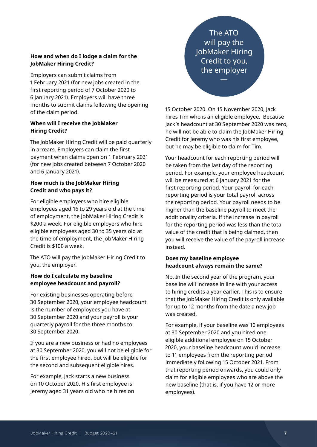#### **How and when do I lodge a claim for the JobMaker Hiring Credit?**

Employers can submit claims from 1 February 2021 (for new jobs created in the first reporting period of 7 October 2020 to 6 January 2021). Employers will have three months to submit claims following the opening of the claim period.

### **When will I receive the JobMaker Hiring Credit?**

The JobMaker Hiring Credit will be paid quarterly in arrears. Employers can claim the first payment when claims open on 1 February 2021 (for new jobs created between 7 October 2020 and 6 January 2021).

### **How much is the JobMaker Hiring Credit and who pays it?**

For eligible employers who hire eligible employees aged 16 to 29 years old at the time of employment, the JobMaker Hiring Credit is \$200 a week. For eligible employers who hire eligible employees aged 30 to 35 years old at the time of employment, the JobMaker Hiring Credit is \$100 a week.

The ATO will pay the JobMaker Hiring Credit to you, the employer.

## **How do I calculate my baseline employee headcount and payroll?**

For existing businesses operating before 30 September 2020, your employee headcount is the number of employees you have at 30 September 2020 and your payroll is your quarterly payroll for the three months to 30 September 2020.

If you are a new business or had no employees at 30 September 2020, you will not be eligible for the first employee hired, but will be eligible for the second and subsequent eligible hires.

For example, Jack starts a new business on 10 October 2020. His first employee is Jeremy aged 31 years old who he hires on

The ATO will pay the JobMaker Hiring Credit to you, the employer

—

15 October 2020. On 15 November 2020, Jack hires Tim who is an eligible employee. Because Jack's headcount at 30 September 2020 was zero, he will not be able to claim the JobMaker Hiring Credit for Jeremy who was his first employee, but he may be eligible to claim for Tim.

Your headcount for each reporting period will be taken from the last day of the reporting period. For example, your employee headcount will be measured at 6 January 2021 for the first reporting period. Your payroll for each reporting period is your total payroll across the reporting period. Your payroll needs to be higher than the baseline payroll to meet the additionality criteria. If the increase in payroll for the reporting period was less than the total value of the credit that is being claimed, then you will receive the value of the payroll increase instead.

### **Does my baseline employee headcount always remain the same?**

No. In the second year of the program, your baseline will increase in line with your access to hiring credits a year earlier. This is to ensure that the JobMaker Hiring Credit is only available for up to 12 months from the date a new job was created.

For example, if your baseline was 10 employees at 30 September 2020 and you hired one eligible additional employee on 15 October 2020, your baseline headcount would increase to 11 employees from the reporting period immediately following 15 October 2021. From that reporting period onwards, you could only claim for eligible employees who are above the new baseline (that is, if you have 12 or more employees).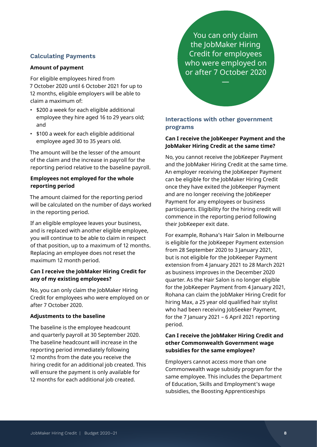#### **Calculating Payments**

#### **Amount of payment**

For eligible employees hired from 7 October 2020 until 6 October 2021 for up to 12 months, eligible employers will be able to claim a maximum of:

- \$200 a week for each eligible additional employee they hire aged 16 to 29 years old; and
- \$100 a week for each eligible additional employee aged 30 to 35 years old.

The amount will be the lesser of the amount of the claim and the increase in payroll for the reporting period relative to the baseline payroll.

#### **Employees not employed for the whole reporting period**

The amount claimed for the reporting period will be calculated on the number of days worked in the reporting period.

If an eligible employee leaves your business, and is replaced with another eligible employee, you will continue to be able to claim in respect of that position, up to a maximum of 12 months. Replacing an employee does not reset the maximum 12 month period.

#### **Can I receive the JobMaker Hiring Credit for any of my existing employees?**

No, you can only claim the JobMaker Hiring Credit for employees who were employed on or after 7 October 2020.

#### **Adjustments to the baseline**

The baseline is the employee headcount and quarterly payroll at 30 September 2020. The baseline headcount will increase in the reporting period immediately following 12 months from the date you receive the hiring credit for an additional job created. This will ensure the payment is only available for 12 months for each additional job created.

You can only claim the JobMaker Hiring Credit for employees who were employed on or after 7 October 2020

—

# **Interactions with other government programs**

#### **Can I receive the JobKeeper Payment and the JobMaker Hiring Credit at the same time?**

No, you cannot receive the JobKeeper Payment and the JobMaker Hiring Credit at the same time. An employer receiving the JobKeeper Payment can be eligible for the JobMaker Hiring Credit once they have exited the JobKeeper Payment and are no longer receiving the JobKeeper Payment for any employees or business participants. Eligibility for the hiring credit will commence in the reporting period following their JobKeeper exit date.

For example, Rohana's Hair Salon in Melbourne is eligible for the JobKeeper Payment extension from 28 September 2020 to 3 January 2021, but is not eligible for the JobKeeper Payment extension from 4 January 2021 to 28 March 2021 as business improves in the December 2020 quarter. As the Hair Salon is no longer eligible for the JobKeeper Payment from 4 January 2021, Rohana can claim the JobMaker Hiring Credit for hiring Max, a 25 year old qualified hair stylist who had been receiving JobSeeker Payment, for the 7 January 2021 – 6 April 2021 reporting period.

#### **Can I receive the JobMaker Hiring Credit and other Commonwealth Government wage subsidies for the same employee?**

Employers cannot access more than one Commonwealth wage subsidy program for the same employee. This includes the Department of Education, Skills and Employment's wage subsidies, the Boosting Apprenticeships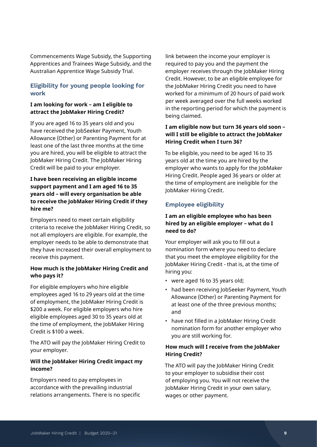Commencements Wage Subsidy, the Supporting Apprentices and Trainees Wage Subsidy, and the Australian Apprentice Wage Subsidy Trial.

# **Eligibility for young people looking for work**

### **I am looking for work – am I eligible to attract the JobMaker Hiring Credit?**

If you are aged 16 to 35 years old and you have received the JobSeeker Payment, Youth Allowance (Other) or Parenting Payment for at least one of the last three months at the time you are hired, you will be eligible to attract the JobMaker Hiring Credit. The JobMaker Hiring Credit will be paid to your employer.

# **I have been receiving an eligible income support payment and I am aged 16 to 35 years old – will every organisation be able to receive the JobMaker Hiring Credit if they hire me?**

Employers need to meet certain eligibility criteria to receive the JobMaker Hiring Credit, so not all employers are eligible. For example, the employer needs to be able to demonstrate that they have increased their overall employment to receive this payment.

# **How much is the JobMaker Hiring Credit and who pays it?**

For eligible employers who hire eligible employees aged 16 to 29 years old at the time of employment, the JobMaker Hiring Credit is \$200 a week. For eligible employers who hire eligible employees aged 30 to 35 years old at the time of employment, the JobMaker Hiring Credit is \$100 a week.

The ATO will pay the JobMaker Hiring Credit to your employer.

# **Will the JobMaker Hiring Credit impact my income?**

Employers need to pay employees in accordance with the prevailing industrial relations arrangements. There is no specific link between the income your employer is required to pay you and the payment the employer receives through the JobMaker Hiring Credit. However, to be an eligible employee for the JobMaker Hiring Credit you need to have worked for a minimum of 20 hours of paid work per week averaged over the full weeks worked in the reporting period for which the payment is being claimed.

# **I am eligible now but turn 36 years old soon – will I still be eligible to attract the JobMaker Hiring Credit when I turn 36?**

To be eligible, you need to be aged 16 to 35 years old at the time you are hired by the employer who wants to apply for the JobMaker Hiring Credit. People aged 36 years or older at the time of employment are ineligible for the JobMaker Hiring Credit.

# **Employee eligibility**

# **I am an eligible employee who has been hired by an eligible employer – what do I need to do?**

Your employer will ask you to fill out a nomination form where you need to declare that you meet the employee eligibility for the JobMaker Hiring Credit - that is, at the time of hiring you:

- were aged 16 to 35 years old;
- had been receiving JobSeeker Payment, Youth Allowance (Other) or Parenting Payment for at least one of the three previous months; and
- have not filled in a JobMaker Hiring Credit nomination form for another employer who you are still working for.

### **How much will I receive from the JobMaker Hiring Credit?**

The ATO will pay the JobMaker Hiring Credit to your employer to subsidise their cost of employing you. You will not receive the JobMaker Hiring Credit in your own salary, wages or other payment.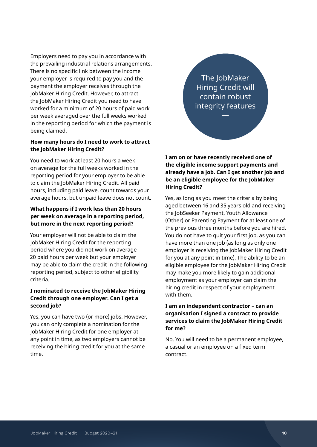Employers need to pay you in accordance with the prevailing industrial relations arrangements. There is no specific link between the income your employer is required to pay you and the payment the employer receives through the JobMaker Hiring Credit. However, to attract the JobMaker Hiring Credit you need to have worked for a minimum of 20 hours of paid work per week averaged over the full weeks worked in the reporting period for which the payment is being claimed.

#### **How many hours do I need to work to attract the JobMaker Hiring Credit?**

You need to work at least 20 hours a week on average for the full weeks worked in the reporting period for your employer to be able to claim the JobMaker Hiring Credit. All paid hours, including paid leave, count towards your average hours, but unpaid leave does not count.

# **What happens if I work less than 20 hours per week on average in a reporting period, but more in the next reporting period?**

Your employer will not be able to claim the JobMaker Hiring Credit for the reporting period where you did not work on average 20 paid hours per week but your employer may be able to claim the credit in the following reporting period, subject to other eligibility criteria.

# **I nominated to receive the JobMaker Hiring Credit through one employer. Can I get a second job?**

Yes, you can have two (or more) jobs. However, you can only complete a nomination for the JobMaker Hiring Credit for one employer at any point in time, as two employers cannot be receiving the hiring credit for you at the same time.

The JobMaker Hiring Credit will contain robust integrity features

—

**I am on or have recently received one of the eligible income support payments and already have a job. Can I get another job and be an eligible employee for the JobMaker Hiring Credit?**

Yes, as long as you meet the criteria by being aged between 16 and 35 years old and receiving the JobSeeker Payment, Youth Allowance (Other) or Parenting Payment for at least one of the previous three months before you are hired. You do not have to quit your first job, as you can have more than one job (as long as only one employer is receiving the JobMaker Hiring Credit for you at any point in time). The ability to be an eligible employee for the JobMaker Hiring Credit may make you more likely to gain additional employment as your employer can claim the hiring credit in respect of your employment with them.

**I am an independent contractor – can an organisation I signed a contract to provide services to claim the JobMaker Hiring Credit for me?** 

No. You will need to be a permanent employee, a casual or an employee on a fixed term contract.